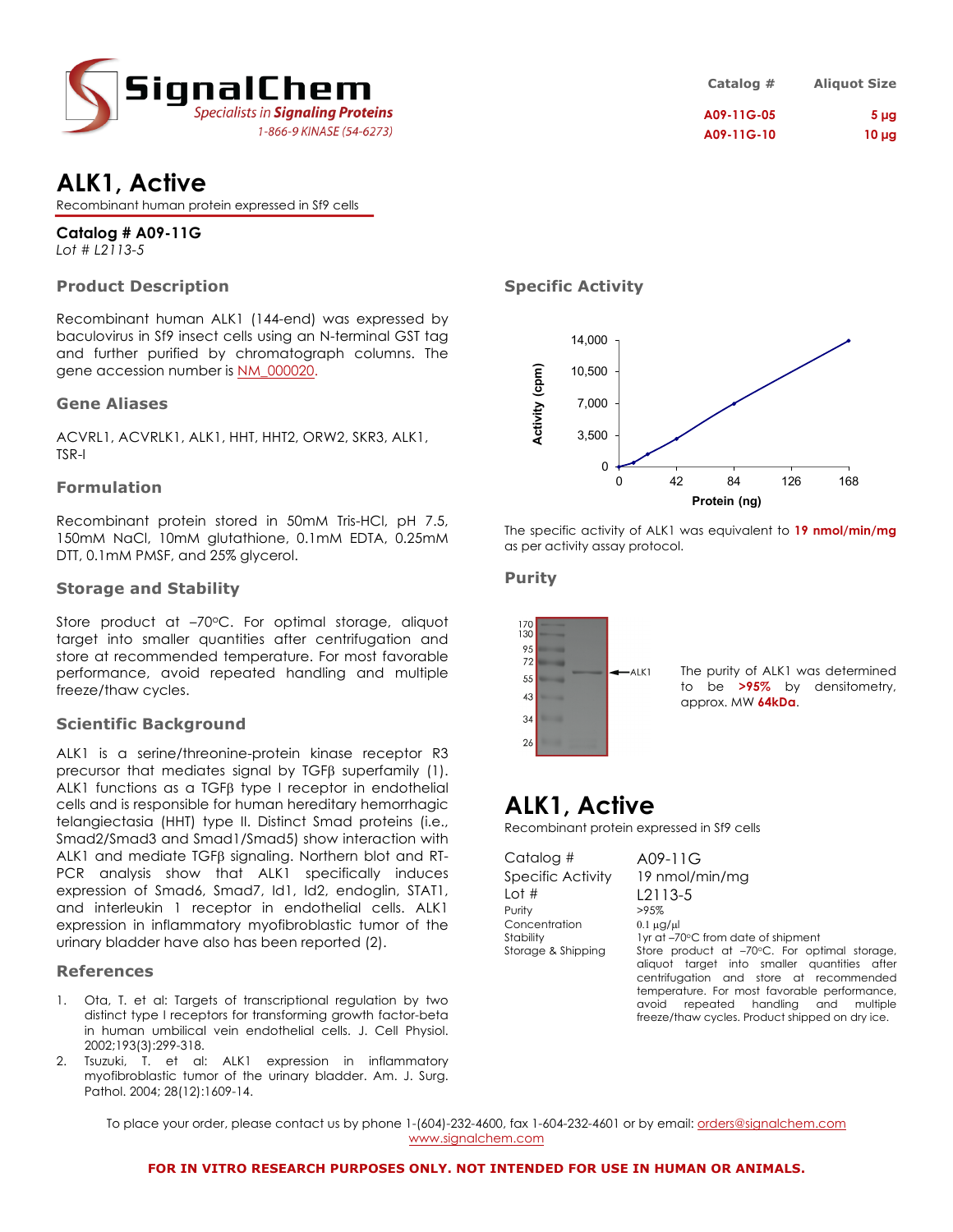

| Catalog #  | <b>Aliquot Size</b> |
|------------|---------------------|
| A09-11G-05 | 5 <sub>µg</sub>     |
| A09-11G-10 | $10 \mu g$          |

## **ALK1, Active**

Recombinant human protein expressed in Sf9 cells

**Catalog # A09-11G** *Lot # L2113-5*

## **Product Description**

Recombinant human ALK1 (144-end) was expressed by baculovirus in Sf9 insect cells using an N-terminal GST tag and further purified by chromatograph columns. The gene accession number is NM\_000020.

### **Gene Aliases**

ACVRL1, ACVRLK1, ALK1, HHT, HHT2, ORW2, SKR3, ALK1, TSR-I

### **Formulation**

Recombinant protein stored in 50mM Tris-HCl, pH 7.5, 150mM NaCl, 10mM glutathione, 0.1mM EDTA, 0.25mM DTT, 0.1mM PMSF, and 25% glycerol.

### **Storage and Stability**

Store product at -70°C. For optimal storage, aliquot target into smaller quantities after centrifugation and store at recommended temperature. For most favorable performance, avoid repeated handling and multiple freeze/thaw cycles.

### **Scientific Background**

ALK1 is a serine/threonine-protein kinase receptor R3 precursor that mediates signal by TGF $\beta$  superfamily (1). ALK1 functions as a  $TGF\beta$  type I receptor in endothelial cells and is responsible for human hereditary hemorrhagic telangiectasia (HHT) type II. Distinct Smad proteins (i.e., Smad2/Smad3 and Smad1/Smad5) show interaction with ALK1 and mediate TGF<sub>B</sub> signaling. Northern blot and RT-PCR analysis show that ALK1 specifically induces expression of Smad6, Smad7, Id1, Id2, endoglin, STAT1, and interleukin 1 receptor in endothelial cells. ALK1 expression in inflammatory myofibroblastic tumor of the urinary bladder have also has been reported (2).

### **References**

- 1. Ota, T. et al: Targets of transcriptional regulation by two distinct type I receptors for transforming growth factor-beta in human umbilical vein endothelial cells. J. Cell Physiol. 2002;193(3):299-318.
- 2. Tsuzuki, T. et al: ALK1 expression in inflammatory myofibroblastic tumor of the urinary bladder. Am. J. Surg. Pathol. 2004; 28(12):1609-14.

**Specific Activity**



The specific activity of ALK1 was equivalent to **19 nmol/min/mg** as per activity assay protocol.

## **Purity**



The purity of ALK1 was determined to be **>95%** by densitometry, approx. MW **64kDa**.

# **ALK1, Active**

Recombinant protein expressed in Sf9 cells

| Catalog #          |  |
|--------------------|--|
| Specific Activity  |  |
| l ot #             |  |
| Purity             |  |
| Concentration      |  |
| Stability          |  |
| Storage & Shipping |  |
|                    |  |

 $A09-11G$ 19 nmol/min/mg  $L2113-5$  $>95%$  $0.1 \mu$ g/ $\mu$ l 1yr at –70°C from date of shipment Store product at –70°C. For optimal storage, aliquot target into smaller quantities after centrifugation and store at recommended temperature. For most favorable performance, avoid repeated handling and multiple freeze/thaw cycles. Product shipped on dry ice.

To place your order, please contact us by phone 1-(604)-232-4600, fax 1-604-232-4601 or by email: orders@signalchem.com www.signalchem.com